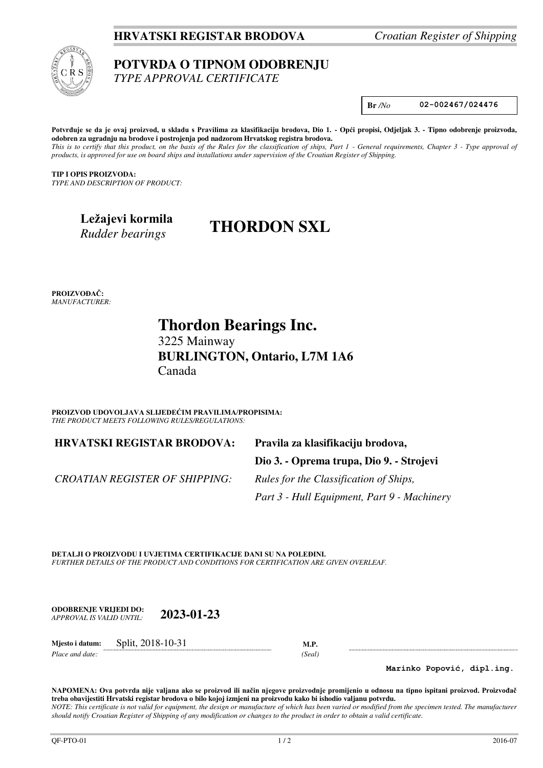### **HRVATSKI REGISTAR BRODOVA** *Croatian Register of Shipping*



#### **POTVRDA O TIPNOM ODOBRENJU**  *TYPE APPROVAL CERTIFICATE*

**Br** */No* **02-002467/024476** 

**Potvrđuje se da je ovaj proizvod, u skladu s Pravilima za klasifikaciju brodova, Dio 1. - Opći propisi, Odjeljak 3. - Tipno odobrenje proizvoda, odobren za ugradnju na brodove i postrojenja pod nadzorom Hrvatskog registra brodova.**  *This is to certify that this product, on the basis of the Rules for the classification of ships, Part 1 - General requirements, Chapter 3 - Type approval of products, is approved for use on board ships and installations under supervision of the Croatian Register of Shipping.* 

**TIP I OPIS PROIZVODA:** *TYPE AND DESCRIPTION OF PRODUCT:* 

> **Ležajevi kormila**  *Rudder bearings*

# **THORDON SXL**

**PROIZVOĐAČ:** *MANUFACTURER:*

 **Thordon Bearings Inc.** 

 3225 Mainway **BURLINGTON, Ontario, L7M 1A6**  Canada

**PROIZVOD UDOVOLJAVA SLIJEDEĆIM PRAVILIMA/PROPISIMA:** *THE PRODUCT MEETS FOLLOWING RULES/REGULATIONS:* 

**HRVATSKI REGISTAR BRODOVA: Pravila za klasifikaciju brodova,** 

**Dio 3. - Oprema trupa, Dio 9. - Strojevi** 

*CROATIAN REGISTER OF SHIPPING: Rules for the Classification of Ships,* 

 *Part 3 - Hull Equipment, Part 9 - Machinery* 

**DETALJI O PROIZVODU I UVJETIMA CERTIFIKACIJE DANI SU NA POLEĐINI.** *FURTHER DETAILS OF THE PRODUCT AND CONDITIONS FOR CERTIFICATION ARE GIVEN OVERLEAF.* 

**ODOBRENJE VRIJEDI DO:**  *APPROVAL IS VALID UNTIL:* **2023-01-23**

**Mjesto i datum:** Split, 2018-10-31 **M.P.**  *Place and date: (Seal)* 

**Marinko Popović, dipl.ing.**

**NAPOMENA: Ova potvrda nije valjana ako se proizvod ili način njegove proizvodnje promijenio u odnosu na tipno ispitani proizvod. Proizvođač treba obavijestiti Hrvatski registar brodova o bilo kojoj izmjeni na proizvodu kako bi ishodio valjanu potvrdu.**  *NOTE: This certificate is not valid for equipment, the design or manufacture of which has been varied or modified from the specimen tested. The manufacturer should notify Croatian Register of Shipping of any modification or changes to the product in order to obtain a valid certificate.*